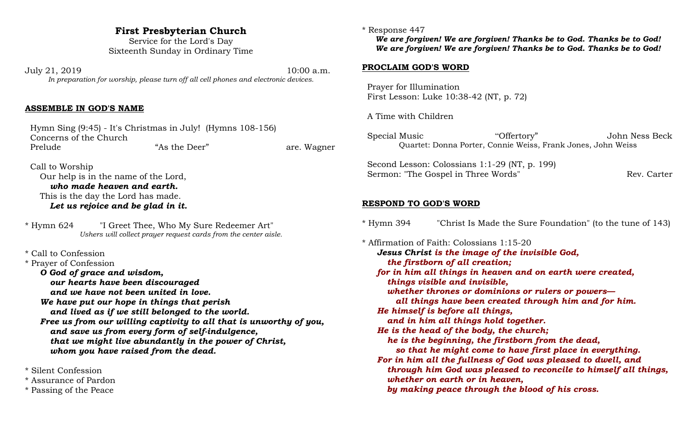# **First Presbyterian Church**

Service for the Lord's Day Sixteenth Sunday in Ordinary Time

July 21, 2019 10:00 a.m. *In preparation for worship, please turn off all cell phones and electronic devices.*

### **ASSEMBLE IN GOD'S NAME**

 Hymn Sing (9:45) - It's Christmas in July! (Hymns 108-156) Concerns of the Church Prelude **1992 Frelude** "As the Deer" **are. Wagner** 

 Call to Worship Our help is in the name of the Lord, *who made heaven and earth.* This is the day the Lord has made. *Let us rejoice and be glad in it.*

\* Hymn 624 "I Greet Thee, Who My Sure Redeemer Art" *Ushers will collect prayer request cards from the center aisle.*

\* Call to Confession

\* Prayer of Confession

*O God of grace and wisdom,*

*our hearts have been discouraged*

*and we have not been united in love.*

*We have put our hope in things that perish and lived as if we still belonged to the world.*

*Free us from our willing captivity to all that is unworthy of you, and save us from every form of self-indulgence, that we might live abundantly in the power of Christ, whom you have raised from the dead.*

\* Silent Confession

- \* Assurance of Pardon
- \* Passing of the Peace

#### \* Response 447

*We are forgiven! We are forgiven! Thanks be to God. Thanks be to God! We are forgiven! We are forgiven! Thanks be to God. Thanks be to God!*

#### **PROCLAIM GOD'S WORD**

 Prayer for Illumination First Lesson: Luke 10:38-42 (NT, p. 72)

A Time with Children

 Special Music "Offertory" John Ness Beck Quartet: Donna Porter, Connie Weiss, Frank Jones, John Weiss

 Second Lesson: Colossians 1:1-29 (NT, p. 199) Sermon: "The Gospel in Three Words" Rev. Carter

### **RESPOND TO GOD'S WORD**

\* Hymn 394 "Christ Is Made the Sure Foundation" (to the tune of 143)

\* Affirmation of Faith: Colossians 1:15-20 *Jesus Christ is the image of the invisible God, the firstborn of all creation; for in him all things in heaven and on earth were created, things visible and invisible, whether thrones or dominions or rulers or powers all things have been created through him and for him. He himself is before all things, and in him all things hold together. He is the head of the body, the church; he is the beginning, the firstborn from the dead, so that he might come to have first place in everything. For in him all the fullness of God was pleased to dwell, and through him God was pleased to reconcile to himself all things, whether on earth or in heaven, by making peace through the blood of his cross.*